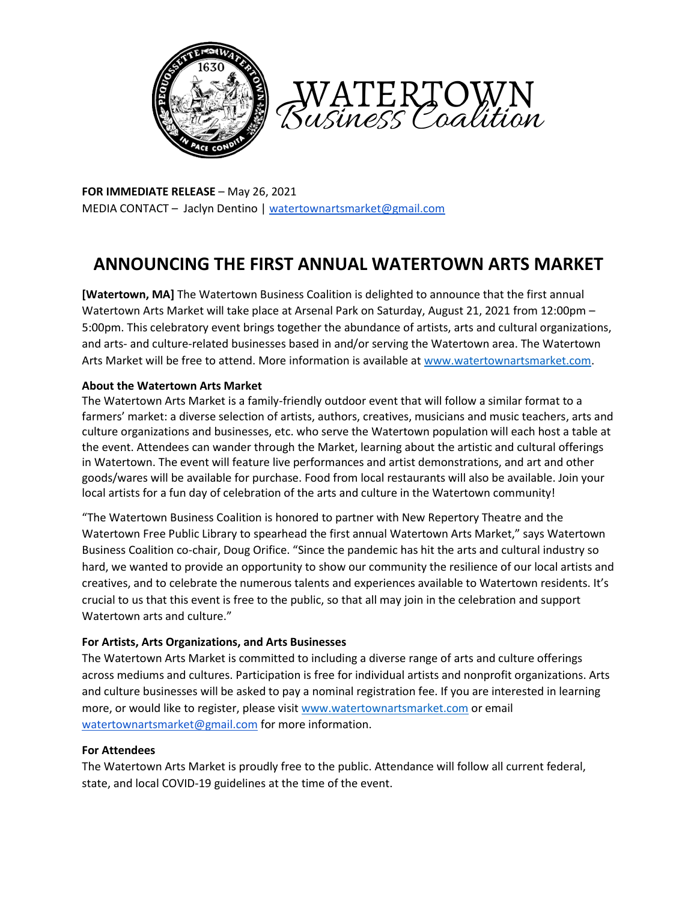



**FOR IMMEDIATE RELEASE** – May 26, 2021 MEDIA CONTACT – Jaclyn Dentino [| watertownartsmarket@gmail.com](mailto:watertownartsmarket@gmail.com)

# **ANNOUNCING THE FIRST ANNUAL WATERTOWN ARTS MARKET**

**[Watertown, MA]** The Watertown Business Coalition is delighted to announce that the first annual Watertown Arts Market will take place at Arsenal Park on Saturday, August 21, 2021 from 12:00pm – 5:00pm. This celebratory event brings together the abundance of artists, arts and cultural organizations, and arts- and culture-related businesses based in and/or serving the Watertown area. The Watertown Arts Market will be free to attend. More information is available a[t www.watertownartsmarket.com.](https://www.watertownartsmarket.com/)

### **About the Watertown Arts Market**

The Watertown Arts Market is a family-friendly outdoor event that will follow a similar format to a farmers' market: a diverse selection of artists, authors, creatives, musicians and music teachers, arts and culture organizations and businesses, etc. who serve the Watertown population will each host a table at the event. Attendees can wander through the Market, learning about the artistic and cultural offerings in Watertown. The event will feature live performances and artist demonstrations, and art and other goods/wares will be available for purchase. Food from local restaurants will also be available. Join your local artists for a fun day of celebration of the arts and culture in the Watertown community!

"The Watertown Business Coalition is honored to partner with New Repertory Theatre and the Watertown Free Public Library to spearhead the first annual Watertown Arts Market," says Watertown Business Coalition co-chair, Doug Orifice. "Since the pandemic has hit the arts and cultural industry so hard, we wanted to provide an opportunity to show our community the resilience of our local artists and creatives, and to celebrate the numerous talents and experiences available to Watertown residents. It's crucial to us that this event is free to the public, so that all may join in the celebration and support Watertown arts and culture."

## **For Artists, Arts Organizations, and Arts Businesses**

The Watertown Arts Market is committed to including a diverse range of arts and culture offerings across mediums and cultures. Participation is free for individual artists and nonprofit organizations. Arts and culture businesses will be asked to pay a nominal registration fee. If you are interested in learning more, or would like to register, please visit [www.watertownartsmarket.com](http://www.watertownartsmarket.com/) or email [watertownartsmarket@gmail.com](mailto:watertownartsmarket@gmail.com) for more information.

#### **For Attendees**

The Watertown Arts Market is proudly free to the public. Attendance will follow all current federal, state, and local COVID-19 guidelines at the time of the event.